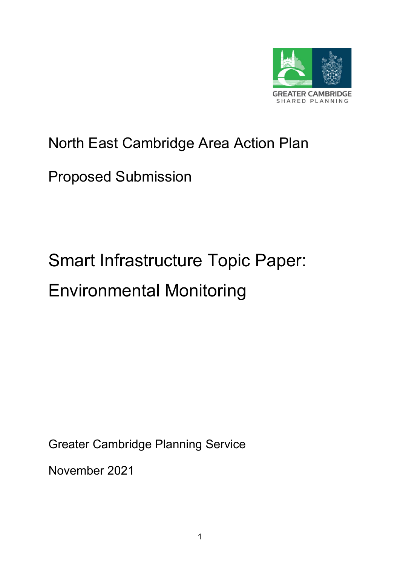

# North East Cambridge Area Action Plan

# Proposed Submission

# Smart Infrastructure Topic Paper: Environmental Monitoring

Greater Cambridge Planning Service

November 2021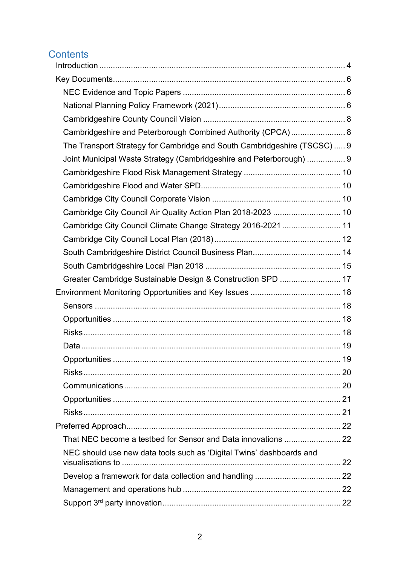# **Contents**

| Cambridgeshire and Peterborough Combined Authority (CPCA) 8              |      |
|--------------------------------------------------------------------------|------|
| The Transport Strategy for Cambridge and South Cambridgeshire (TSCSC)  9 |      |
| Joint Municipal Waste Strategy (Cambridgeshire and Peterborough)  9      |      |
|                                                                          |      |
|                                                                          |      |
|                                                                          |      |
| Cambridge City Council Air Quality Action Plan 2018-2023  10             |      |
| Cambridge City Council Climate Change Strategy 2016-2021  11             |      |
|                                                                          |      |
|                                                                          |      |
|                                                                          |      |
| Greater Cambridge Sustainable Design & Construction SPD  17              |      |
|                                                                          |      |
|                                                                          |      |
|                                                                          |      |
|                                                                          |      |
|                                                                          |      |
| Opportunities                                                            | . 19 |
|                                                                          |      |
|                                                                          |      |
|                                                                          |      |
|                                                                          |      |
|                                                                          |      |
|                                                                          |      |
| NEC should use new data tools such as 'Digital Twins' dashboards and     |      |
|                                                                          |      |
|                                                                          |      |
|                                                                          |      |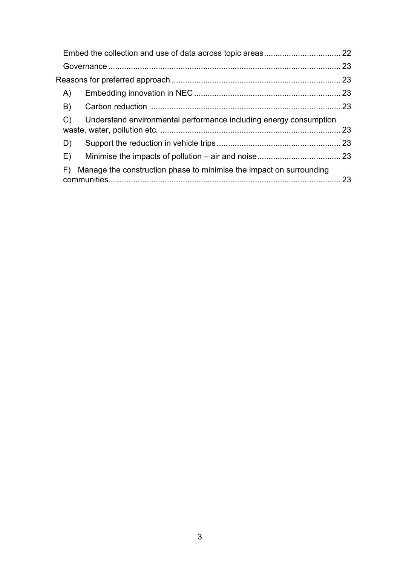| A)            |                                                                     |  |
|---------------|---------------------------------------------------------------------|--|
| B)            |                                                                     |  |
| $\mathcal{C}$ | Understand environmental performance including energy consumption   |  |
| D)            |                                                                     |  |
| E)            |                                                                     |  |
| F)            | Manage the construction phase to minimise the impact on surrounding |  |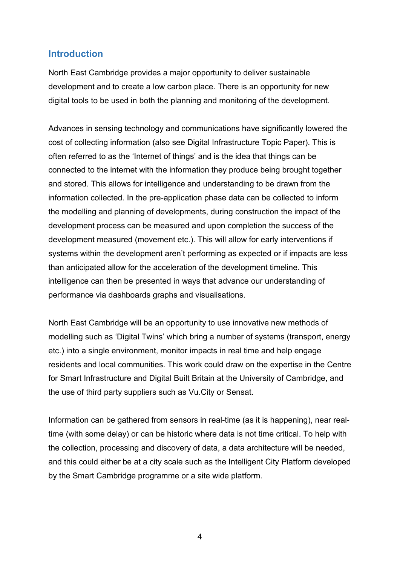# <span id="page-3-0"></span>**Introduction**

North East Cambridge provides a major opportunity to deliver sustainable development and to create a low carbon place. There is an opportunity for new digital tools to be used in both the planning and monitoring of the development.

Advances in sensing technology and communications have significantly lowered the cost of collecting information (also see Digital Infrastructure Topic Paper). This is often referred to as the 'Internet of things' and is the idea that things can be connected to the internet with the information they produce being brought together and stored. This allows for intelligence and understanding to be drawn from the information collected. In the pre-application phase data can be collected to inform the modelling and planning of developments, during construction the impact of the development process can be measured and upon completion the success of the development measured (movement etc.). This will allow for early interventions if systems within the development aren't performing as expected or if impacts are less than anticipated allow for the acceleration of the development timeline. This intelligence can then be presented in ways that advance our understanding of performance via dashboards graphs and visualisations.

North East Cambridge will be an opportunity to use innovative new methods of modelling such as 'Digital Twins' which bring a number of systems (transport, energy etc.) into a single environment, monitor impacts in real time and help engage residents and local communities. This work could draw on the expertise in the Centre for Smart Infrastructure and Digital Built Britain at the University of Cambridge, and the use of third party suppliers such as Vu.City or Sensat.

Information can be gathered from sensors in real-time (as it is happening), near realtime (with some delay) or can be historic where data is not time critical. To help with the collection, processing and discovery of data, a data architecture will be needed, and this could either be at a city scale such as the Intelligent City Platform developed by the Smart Cambridge programme or a site wide platform.

4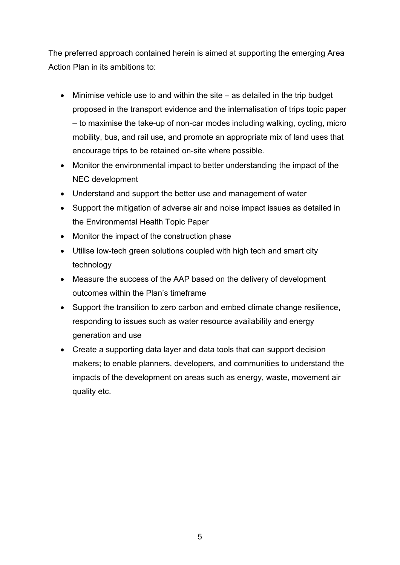The preferred approach contained herein is aimed at supporting the emerging Area Action Plan in its ambitions to:

- Minimise vehicle use to and within the site as detailed in the trip budget proposed in the transport evidence and the internalisation of trips topic paper – to maximise the take-up of non-car modes including walking, cycling, micro mobility, bus, and rail use, and promote an appropriate mix of land uses that encourage trips to be retained on-site where possible.
- Monitor the environmental impact to better understanding the impact of the NEC development
- Understand and support the better use and management of water
- Support the mitigation of adverse air and noise impact issues as detailed in the Environmental Health Topic Paper
- Monitor the impact of the construction phase
- Utilise low-tech green solutions coupled with high tech and smart city technology
- Measure the success of the AAP based on the delivery of development outcomes within the Plan's timeframe
- Support the transition to zero carbon and embed climate change resilience, responding to issues such as water resource availability and energy generation and use
- Create a supporting data layer and data tools that can support decision makers; to enable planners, developers, and communities to understand the impacts of the development on areas such as energy, waste, movement air quality etc.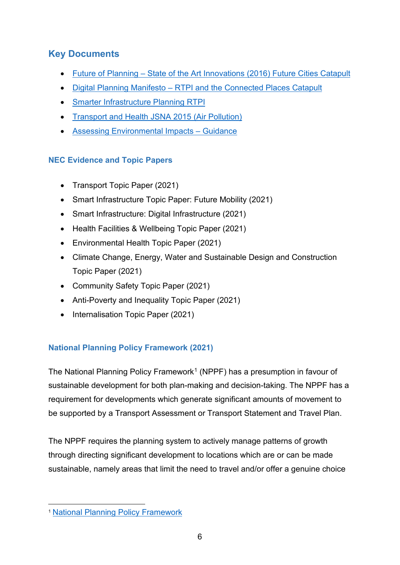# <span id="page-5-0"></span>**Key Documents**

- Future of Planning State of the Art Innovations (2016) Future Cities Catapult
- Digital Planning Manifesto [RTPI and the Connected Places Catapult](https://s3-eu-west-1.amazonaws.com/media.cp.catapult/wp-content/uploads/2019/11/07101808/RKPI_Manifesto.pdf)
- [Smarter Infrastructure Planning RTPI](https://www.rtpi.org.uk/media/3481458/smarterinfrastructureplanning.pdf)
- [Transport and Health JSNA 2015 \(Air Pollution\)](https://cambridgeshireinsight.org.uk/wp-content/uploads/2017/08/Transport-and-Health-JSNA-2015-Air-Pollution.pdf)
- Assessing Environmental Impacts Guidance

# <span id="page-5-1"></span>**NEC Evidence and Topic Papers**

- Transport Topic Paper (2021)
- Smart Infrastructure Topic Paper: Future Mobility (2021)
- Smart Infrastructure: Digital Infrastructure (2021)
- Health Facilities & Wellbeing Topic Paper (2021)
- Environmental Health Topic Paper (2021)
- Climate Change, Energy, Water and Sustainable Design and Construction Topic Paper (2021)
- Community Safety Topic Paper (2021)
- Anti-Poverty and Inequality Topic Paper (2021)
- Internalisation Topic Paper (2021)

# <span id="page-5-2"></span>**National Planning Policy Framework (2021)**

The National Planning Policy Framework<sup>[1](#page-5-3)</sup> (NPPF) has a presumption in favour of sustainable development for both plan-making and decision-taking. The NPPF has a requirement for developments which generate significant amounts of movement to be supported by a Transport Assessment or Transport Statement and Travel Plan.

The NPPF requires the planning system to actively manage patterns of growth through directing significant development to locations which are or can be made sustainable, namely areas that limit the need to travel and/or offer a genuine choice

<span id="page-5-3"></span><sup>1</sup> [National Planning Policy Framework](https://www.gov.uk/government/publications/national-planning-policy-framework--2)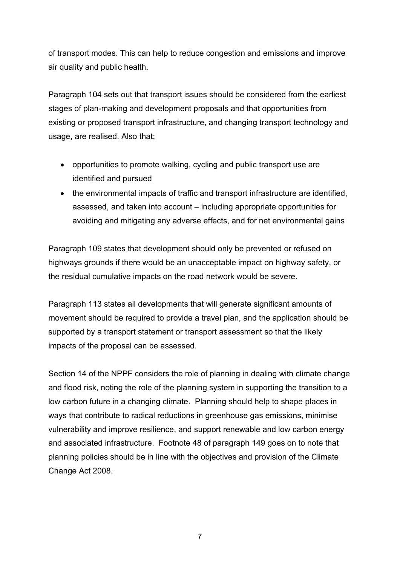of transport modes. This can help to reduce congestion and emissions and improve air quality and public health.

Paragraph 104 sets out that transport issues should be considered from the earliest stages of plan-making and development proposals and that opportunities from existing or proposed transport infrastructure, and changing transport technology and usage, are realised. Also that;

- opportunities to promote walking, cycling and public transport use are identified and pursued
- the environmental impacts of traffic and transport infrastructure are identified, assessed, and taken into account – including appropriate opportunities for avoiding and mitigating any adverse effects, and for net environmental gains

Paragraph 109 states that development should only be prevented or refused on highways grounds if there would be an unacceptable impact on highway safety, or the residual cumulative impacts on the road network would be severe.

Paragraph 113 states all developments that will generate significant amounts of movement should be required to provide a travel plan, and the application should be supported by a transport statement or transport assessment so that the likely impacts of the proposal can be assessed.

Section 14 of the NPPF considers the role of planning in dealing with climate change and flood risk, noting the role of the planning system in supporting the transition to a low carbon future in a changing climate. Planning should help to shape places in ways that contribute to radical reductions in greenhouse gas emissions, minimise vulnerability and improve resilience, and support renewable and low carbon energy and associated infrastructure. Footnote 48 of paragraph 149 goes on to note that planning policies should be in line with the objectives and provision of the Climate Change Act 2008.

7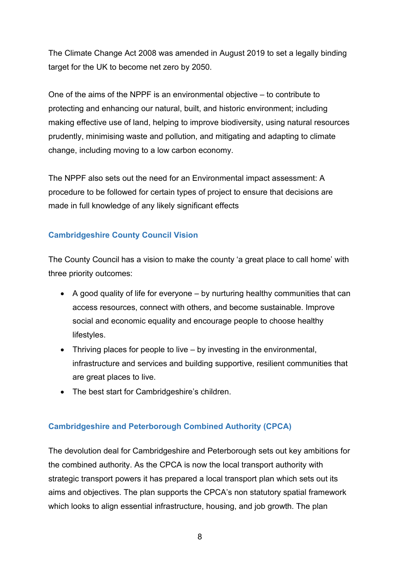The Climate Change Act 2008 was amended in August 2019 to set a legally binding target for the UK to become net zero by 2050.

One of the aims of the NPPF is an environmental objective – to contribute to protecting and enhancing our natural, built, and historic environment; including making effective use of land, helping to improve biodiversity, using natural resources prudently, minimising waste and pollution, and mitigating and adapting to climate change, including moving to a low carbon economy.

The NPPF also sets out the need for an Environmental impact assessment: A procedure to be followed for certain types of project to ensure that decisions are made in full knowledge of any likely significant effects

# <span id="page-7-0"></span>**Cambridgeshire County Council Vision**

The County Council has a vision to make the county 'a great place to call home' with three priority outcomes:

- A good quality of life for everyone by nurturing healthy communities that can access resources, connect with others, and become sustainable. Improve social and economic equality and encourage people to choose healthy lifestyles.
- Thriving places for people to live by investing in the environmental, infrastructure and services and building supportive, resilient communities that are great places to live.
- The best start for Cambridgeshire's children.

# <span id="page-7-1"></span>**Cambridgeshire and Peterborough Combined Authority (CPCA)**

The devolution deal for Cambridgeshire and Peterborough sets out key ambitions for the combined authority. As the CPCA is now the local transport authority with strategic transport powers it has prepared a local transport plan which sets out its aims and objectives. The plan supports the CPCA's non statutory spatial framework which looks to align essential infrastructure, housing, and job growth. The plan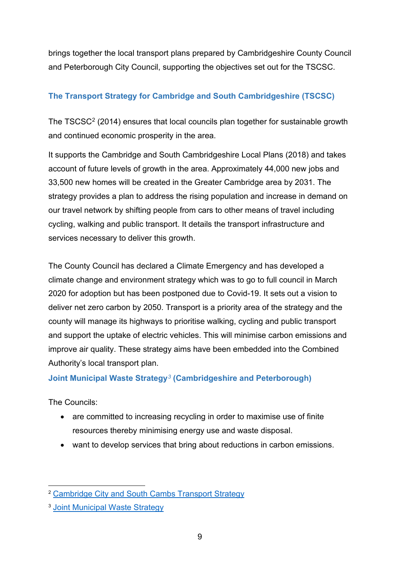brings together the local transport plans prepared by Cambridgeshire County Council and Peterborough City Council, supporting the objectives set out for the TSCSC.

# <span id="page-8-0"></span>**The Transport Strategy for Cambridge and South Cambridgeshire (TSCSC)**

The TSCSC<sup>[2](#page-8-2)</sup> (2014) ensures that local councils plan together for sustainable growth and continued economic prosperity in the area.

It supports the Cambridge and South Cambridgeshire Local Plans (2018) and takes account of future levels of growth in the area. Approximately 44,000 new jobs and 33,500 new homes will be created in the Greater Cambridge area by 2031. The strategy provides a plan to address the rising population and increase in demand on our travel network by shifting people from cars to other means of travel including cycling, walking and public transport. It details the transport infrastructure and services necessary to deliver this growth.

The County Council has declared a Climate Emergency and has developed a climate change and environment strategy which was to go to full council in March 2020 for adoption but has been postponed due to Covid-19. It sets out a vision to deliver net zero carbon by 2050. Transport is a priority area of the strategy and the county will manage its highways to prioritise walking, cycling and public transport and support the uptake of electric vehicles. This will minimise carbon emissions and improve air quality. These strategy aims have been embedded into the Combined Authority's local transport plan.

# <span id="page-8-1"></span>**Joint Municipal Waste Strategy***[3](#page-8-3)* **(Cambridgeshire and Peterborough)**

The Councils:

- are committed to increasing recycling in order to maximise use of finite resources thereby minimising energy use and waste disposal.
- want to develop services that bring about reductions in carbon emissions.

<span id="page-8-2"></span><sup>2</sup> [Cambridge City and South Cambs Transport Strategy](https://www.cambridgeshire.gov.uk/residents/travel-roads-and-parking/transport-plans-and-policies/cambridge-city-and-south-cambs-transport-strategy)

<span id="page-8-3"></span><sup>3</sup> [Joint Municipal Waste Strategy](https://www.recap.co.uk/about-recap)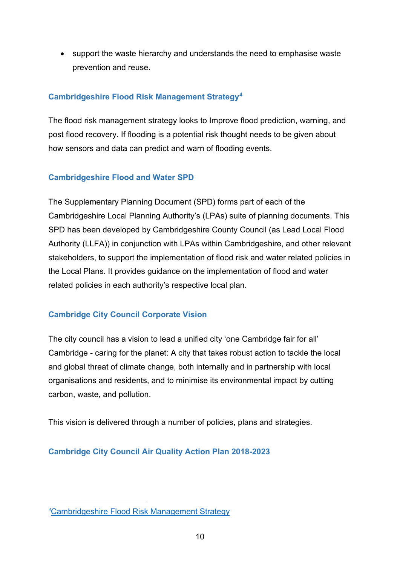• support the waste hierarchy and understands the need to emphasise waste prevention and reuse.

# <span id="page-9-0"></span>**Cambridgeshire Flood Risk Management Strategy[4](#page-9-4)**

The flood risk management strategy looks to Improve flood prediction, warning, and post flood recovery. If flooding is a potential risk thought needs to be given about how sensors and data can predict and warn of flooding events.

# <span id="page-9-1"></span>**Cambridgeshire Flood and Water SPD**

The Supplementary Planning Document (SPD) forms part of each of the Cambridgeshire Local Planning Authority's (LPAs) suite of planning documents. This SPD has been developed by Cambridgeshire County Council (as Lead Local Flood Authority (LLFA)) in conjunction with LPAs within Cambridgeshire, and other relevant stakeholders, to support the implementation of flood risk and water related policies in the Local Plans. It provides guidance on the implementation of flood and water related policies in each authority's respective local plan.

# <span id="page-9-2"></span>**Cambridge City Council Corporate Vision**

The city council has a vision to lead a unified city 'one Cambridge fair for all' Cambridge - caring for the planet: A city that takes robust action to tackle the local and global threat of climate change, both internally and in partnership with local organisations and residents, and to minimise its environmental impact by cutting carbon, waste, and pollution.

This vision is delivered through a number of policies, plans and strategies.

# <span id="page-9-3"></span>**Cambridge City Council Air Quality Action Plan 2018-2023**

<span id="page-9-4"></span>*<sup>4</sup>* [Cambridgeshire Flood Risk Management Strategy](https://democracy.cambridge.gov.uk/documents/s30563/Appendix%20A%20CLFRM.pdf)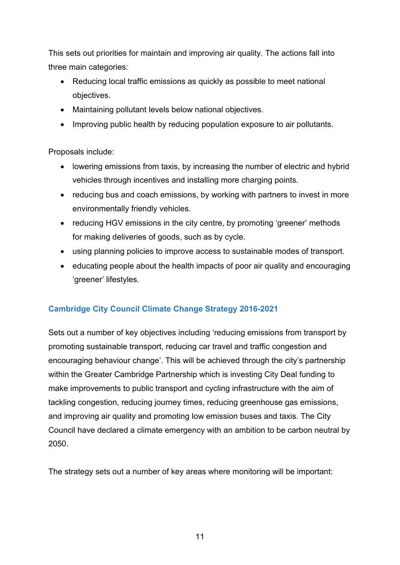This sets out priorities for maintain and improving air quality. The actions fall into three main categories:

- Reducing local traffic emissions as quickly as possible to meet national objectives.
- Maintaining pollutant levels below national objectives.
- Improving public health by reducing population exposure to air pollutants.

Proposals include:

- lowering emissions from taxis, by increasing the number of electric and hybrid vehicles through incentives and installing more charging points.
- reducing bus and coach emissions, by working with partners to invest in more environmentally friendly vehicles.
- reducing HGV emissions in the city centre, by promoting 'greener' methods for making deliveries of goods, such as by cycle.
- using planning policies to improve access to sustainable modes of transport.
- educating people about the health impacts of poor air quality and encouraging 'greener' lifestyles.

# <span id="page-10-0"></span>**Cambridge City Council Climate Change Strategy 2016-2021**

Sets out a number of key objectives including 'reducing emissions from transport by promoting sustainable transport, reducing car travel and traffic congestion and encouraging behaviour change'. This will be achieved through the city's partnership within the Greater Cambridge Partnership which is investing City Deal funding to make improvements to public transport and cycling infrastructure with the aim of tackling congestion, reducing journey times, reducing greenhouse gas emissions, and improving air quality and promoting low emission buses and taxis. The City Council have declared a climate emergency with an ambition to be carbon neutral by 2050.

The strategy sets out a number of key areas where monitoring will be important: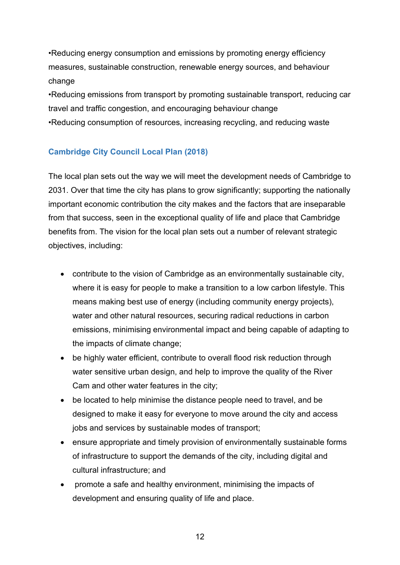•Reducing energy consumption and emissions by promoting energy efficiency measures, sustainable construction, renewable energy sources, and behaviour change

•Reducing emissions from transport by promoting sustainable transport, reducing car travel and traffic congestion, and encouraging behaviour change •Reducing consumption of resources, increasing recycling, and reducing waste

# <span id="page-11-0"></span>**Cambridge City Council Local Plan (2018)**

The local plan sets out the way we will meet the development needs of Cambridge to 2031. Over that time the city has plans to grow significantly; supporting the nationally important economic contribution the city makes and the factors that are inseparable from that success, seen in the exceptional quality of life and place that Cambridge benefits from. The vision for the local plan sets out a number of relevant strategic objectives, including:

- contribute to the vision of Cambridge as an environmentally sustainable city, where it is easy for people to make a transition to a low carbon lifestyle. This means making best use of energy (including community energy projects), water and other natural resources, securing radical reductions in carbon emissions, minimising environmental impact and being capable of adapting to the impacts of climate change;
- be highly water efficient, contribute to overall flood risk reduction through water sensitive urban design, and help to improve the quality of the River Cam and other water features in the city;
- be located to help minimise the distance people need to travel, and be designed to make it easy for everyone to move around the city and access jobs and services by sustainable modes of transport;
- ensure appropriate and timely provision of environmentally sustainable forms of infrastructure to support the demands of the city, including digital and cultural infrastructure; and
- promote a safe and healthy environment, minimising the impacts of development and ensuring quality of life and place.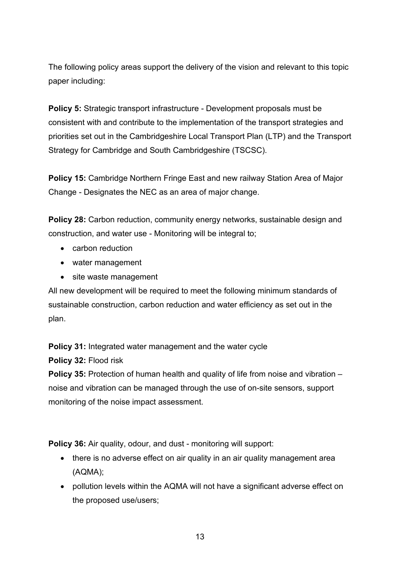The following policy areas support the delivery of the vision and relevant to this topic paper including:

**Policy 5:** Strategic transport infrastructure - Development proposals must be consistent with and contribute to the implementation of the transport strategies and priorities set out in the Cambridgeshire Local Transport Plan (LTP) and the Transport Strategy for Cambridge and South Cambridgeshire (TSCSC).

**Policy 15:** Cambridge Northern Fringe East and new railway Station Area of Major Change - Designates the NEC as an area of major change.

**Policy 28:** Carbon reduction, community energy networks, sustainable design and construction, and water use - Monitoring will be integral to;

- carbon reduction
- water management
- site waste management

All new development will be required to meet the following minimum standards of sustainable construction, carbon reduction and water efficiency as set out in the plan.

**Policy 31:** Integrated water management and the water cycle

**Policy 32:** Flood risk

**Policy 35:** Protection of human health and quality of life from noise and vibration – noise and vibration can be managed through the use of on-site sensors, support monitoring of the noise impact assessment.

**Policy 36:** Air quality, odour, and dust - monitoring will support:

- there is no adverse effect on air quality in an air quality management area (AQMA);
- pollution levels within the AQMA will not have a significant adverse effect on the proposed use/users;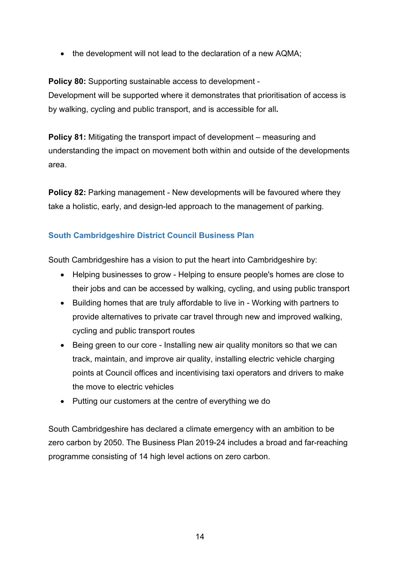• the development will not lead to the declaration of a new AQMA;

**Policy 80:** Supporting sustainable access to development - Development will be supported where it demonstrates that prioritisation of access is by walking, cycling and public transport, and is accessible for all**.**

**Policy 81:** Mitigating the transport impact of development – measuring and understanding the impact on movement both within and outside of the developments area.

**Policy 82:** Parking management - New developments will be favoured where they take a holistic, early, and design-led approach to the management of parking.

# <span id="page-13-0"></span>**South Cambridgeshire District Council Business Plan**

South Cambridgeshire has a vision to put the heart into Cambridgeshire by:

- Helping businesses to grow Helping to ensure people's homes are close to their jobs and can be accessed by walking, cycling, and using public transport
- Building homes that are truly affordable to live in Working with partners to provide alternatives to private car travel through new and improved walking, cycling and public transport routes
- Being green to our core Installing new air quality monitors so that we can track, maintain, and improve air quality, installing electric vehicle charging points at Council offices and incentivising taxi operators and drivers to make the move to electric vehicles
- Putting our customers at the centre of everything we do

South Cambridgeshire has declared a climate emergency with an ambition to be zero carbon by 2050. The Business Plan 2019-24 includes a broad and far-reaching programme consisting of 14 high level actions on zero carbon.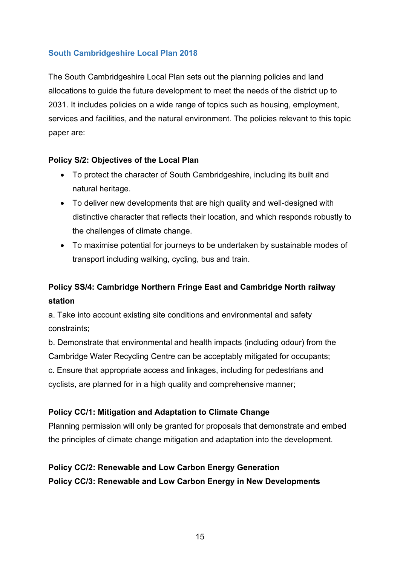# <span id="page-14-0"></span>**South Cambridgeshire Local Plan 2018**

The South Cambridgeshire Local Plan sets out the planning policies and land allocations to guide the future development to meet the needs of the district up to 2031. It includes policies on a wide range of topics such as housing, employment, services and facilities, and the natural environment. The policies relevant to this topic paper are:

#### **Policy S/2: Objectives of the Local Plan**

- To protect the character of South Cambridgeshire, including its built and natural heritage.
- To deliver new developments that are high quality and well-designed with distinctive character that reflects their location, and which responds robustly to the challenges of climate change.
- To maximise potential for journeys to be undertaken by sustainable modes of transport including walking, cycling, bus and train.

# **Policy SS/4: Cambridge Northern Fringe East and Cambridge North railway station**

a. Take into account existing site conditions and environmental and safety constraints;

b. Demonstrate that environmental and health impacts (including odour) from the Cambridge Water Recycling Centre can be acceptably mitigated for occupants; c. Ensure that appropriate access and linkages, including for pedestrians and cyclists, are planned for in a high quality and comprehensive manner;

#### **Policy CC/1: Mitigation and Adaptation to Climate Change**

Planning permission will only be granted for proposals that demonstrate and embed the principles of climate change mitigation and adaptation into the development.

# **Policy CC/2: Renewable and Low Carbon Energy Generation Policy CC/3: Renewable and Low Carbon Energy in New Developments**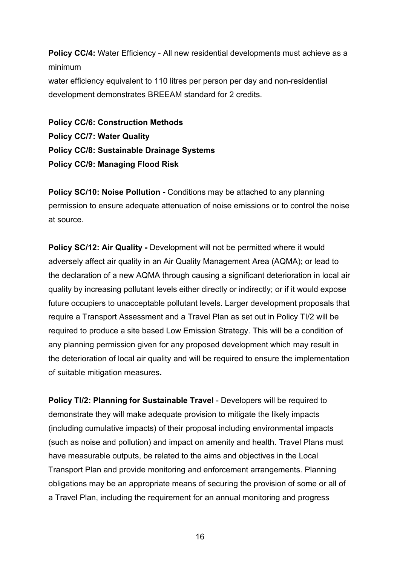**Policy CC/4:** Water Efficiency - All new residential developments must achieve as a minimum water efficiency equivalent to 110 litres per person per day and non-residential development demonstrates BREEAM standard for 2 credits.

**Policy CC/6: Construction Methods Policy CC/7: Water Quality Policy CC/8: Sustainable Drainage Systems Policy CC/9: Managing Flood Risk**

**Policy SC/10: Noise Pollution -** Conditions may be attached to any planning permission to ensure adequate attenuation of noise emissions or to control the noise at source.

**Policy SC/12: Air Quality -** Development will not be permitted where it would adversely affect air quality in an Air Quality Management Area (AQMA); or lead to the declaration of a new AQMA through causing a significant deterioration in local air quality by increasing pollutant levels either directly or indirectly; or if it would expose future occupiers to unacceptable pollutant levels**.** Larger development proposals that require a Transport Assessment and a Travel Plan as set out in Policy TI/2 will be required to produce a site based Low Emission Strategy. This will be a condition of any planning permission given for any proposed development which may result in the deterioration of local air quality and will be required to ensure the implementation of suitable mitigation measures**.**

**Policy TI/2: Planning for Sustainable Travel - Developers will be required to** demonstrate they will make adequate provision to mitigate the likely impacts (including cumulative impacts) of their proposal including environmental impacts (such as noise and pollution) and impact on amenity and health. Travel Plans must have measurable outputs, be related to the aims and objectives in the Local Transport Plan and provide monitoring and enforcement arrangements. Planning obligations may be an appropriate means of securing the provision of some or all of a Travel Plan, including the requirement for an annual monitoring and progress

16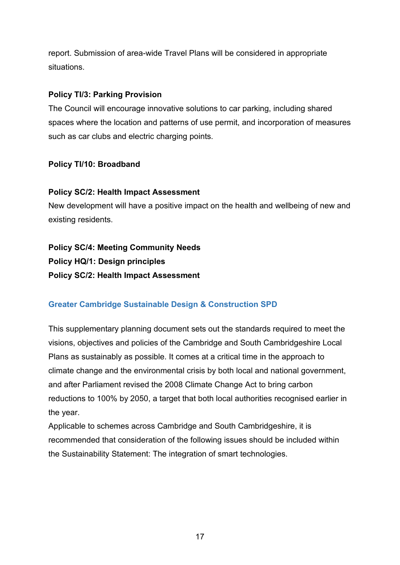report. Submission of area-wide Travel Plans will be considered in appropriate situations.

#### **Policy TI/3: Parking Provision**

The Council will encourage innovative solutions to car parking, including shared spaces where the location and patterns of use permit, and incorporation of measures such as car clubs and electric charging points.

# **Policy TI/10: Broadband**

# **Policy SC/2: Health Impact Assessment**

New development will have a positive impact on the health and wellbeing of new and existing residents.

# **Policy SC/4: Meeting Community Needs Policy HQ/1: Design principles Policy SC/2: Health Impact Assessment**

# <span id="page-16-0"></span>**Greater Cambridge Sustainable Design & Construction SPD**

This supplementary planning document sets out the standards required to meet the visions, objectives and policies of the Cambridge and South Cambridgeshire Local Plans as sustainably as possible. It comes at a critical time in the approach to climate change and the environmental crisis by both local and national government, and after Parliament revised the 2008 Climate Change Act to bring carbon reductions to 100% by 2050, a target that both local authorities recognised earlier in the year.

Applicable to schemes across Cambridge and South Cambridgeshire, it is recommended that consideration of the following issues should be included within the Sustainability Statement: The integration of smart technologies.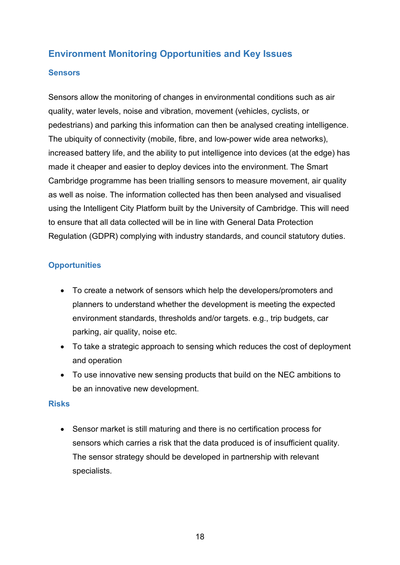# <span id="page-17-0"></span>**Environment Monitoring Opportunities and Key Issues**

#### <span id="page-17-1"></span>**Sensors**

Sensors allow the monitoring of changes in environmental conditions such as air quality, water levels, noise and vibration, movement (vehicles, cyclists, or pedestrians) and parking this information can then be analysed creating intelligence. The ubiquity of connectivity (mobile, fibre, and low-power wide area networks), increased battery life, and the ability to put intelligence into devices (at the edge) has made it cheaper and easier to deploy devices into the environment. The Smart Cambridge programme has been trialling sensors to measure movement, air quality as well as noise. The information collected has then been analysed and visualised using the Intelligent City Platform built by the University of Cambridge. This will need to ensure that all data collected will be in line with General Data Protection Regulation (GDPR) complying with industry standards, and council statutory duties.

# <span id="page-17-2"></span>**Opportunities**

- To create a network of sensors which help the developers/promoters and planners to understand whether the development is meeting the expected environment standards, thresholds and/or targets. e.g., trip budgets, car parking, air quality, noise etc.
- To take a strategic approach to sensing which reduces the cost of deployment and operation
- To use innovative new sensing products that build on the NEC ambitions to be an innovative new development.

#### <span id="page-17-3"></span>**Risks**

• Sensor market is still maturing and there is no certification process for sensors which carries a risk that the data produced is of insufficient quality. The sensor strategy should be developed in partnership with relevant specialists.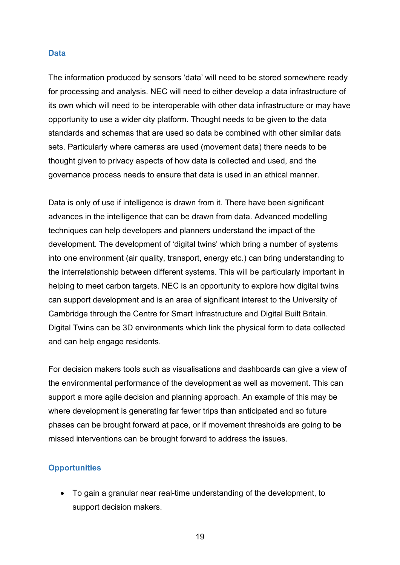#### <span id="page-18-0"></span>**Data**

The information produced by sensors 'data' will need to be stored somewhere ready for processing and analysis. NEC will need to either develop a data infrastructure of its own which will need to be interoperable with other data infrastructure or may have opportunity to use a wider city platform. Thought needs to be given to the data standards and schemas that are used so data be combined with other similar data sets. Particularly where cameras are used (movement data) there needs to be thought given to privacy aspects of how data is collected and used, and the governance process needs to ensure that data is used in an ethical manner.

Data is only of use if intelligence is drawn from it. There have been significant advances in the intelligence that can be drawn from data. Advanced modelling techniques can help developers and planners understand the impact of the development. The development of 'digital twins' which bring a number of systems into one environment (air quality, transport, energy etc.) can bring understanding to the interrelationship between different systems. This will be particularly important in helping to meet carbon targets. NEC is an opportunity to explore how digital twins can support development and is an area of significant interest to the University of Cambridge through the Centre for Smart Infrastructure and Digital Built Britain. Digital Twins can be 3D environments which link the physical form to data collected and can help engage residents.

For decision makers tools such as visualisations and dashboards can give a view of the environmental performance of the development as well as movement. This can support a more agile decision and planning approach. An example of this may be where development is generating far fewer trips than anticipated and so future phases can be brought forward at pace, or if movement thresholds are going to be missed interventions can be brought forward to address the issues.

#### <span id="page-18-1"></span>**Opportunities**

• To gain a granular near real-time understanding of the development, to support decision makers.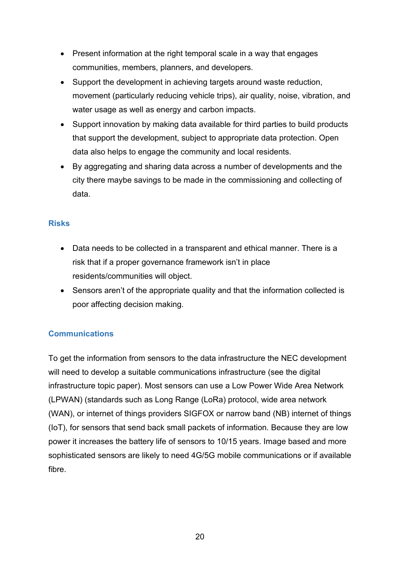- Present information at the right temporal scale in a way that engages communities, members, planners, and developers.
- Support the development in achieving targets around waste reduction, movement (particularly reducing vehicle trips), air quality, noise, vibration, and water usage as well as energy and carbon impacts.
- Support innovation by making data available for third parties to build products that support the development, subject to appropriate data protection. Open data also helps to engage the community and local residents.
- By aggregating and sharing data across a number of developments and the city there maybe savings to be made in the commissioning and collecting of data.

#### <span id="page-19-0"></span>**Risks**

- Data needs to be collected in a transparent and ethical manner. There is a risk that if a proper governance framework isn't in place residents/communities will object.
- Sensors aren't of the appropriate quality and that the information collected is poor affecting decision making.

# <span id="page-19-1"></span>**Communications**

To get the information from sensors to the data infrastructure the NEC development will need to develop a suitable communications infrastructure (see the digital infrastructure topic paper). Most sensors can use a Low Power Wide Area Network (LPWAN) (standards such as Long Range (LoRa) protocol, wide area network (WAN), or internet of things providers SIGFOX or narrow band (NB) internet of things (IoT), for sensors that send back small packets of information. Because they are low power it increases the battery life of sensors to 10/15 years. Image based and more sophisticated sensors are likely to need 4G/5G mobile communications or if available fibre.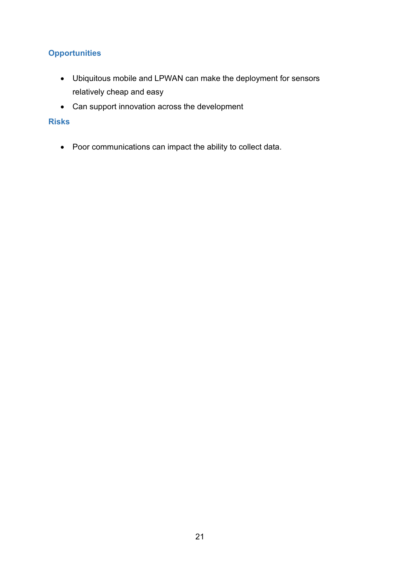# <span id="page-20-0"></span>**Opportunities**

- Ubiquitous mobile and LPWAN can make the deployment for sensors relatively cheap and easy
- Can support innovation across the development

#### <span id="page-20-1"></span>**Risks**

• Poor communications can impact the ability to collect data.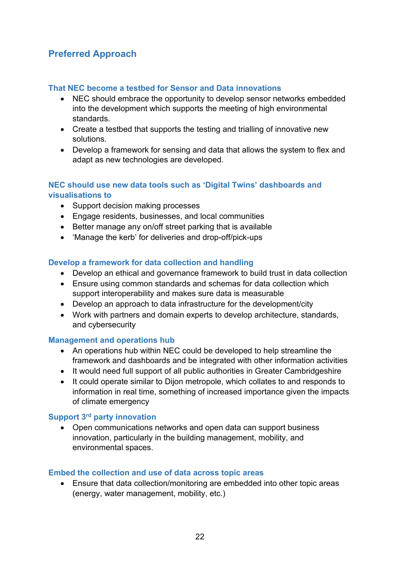# <span id="page-21-0"></span>**Preferred Approach**

#### <span id="page-21-1"></span>**That NEC become a testbed for Sensor and Data innovations**

- NEC should embrace the opportunity to develop sensor networks embedded into the development which supports the meeting of high environmental standards.
- Create a testbed that supports the testing and trialling of innovative new solutions.
- Develop a framework for sensing and data that allows the system to flex and adapt as new technologies are developed.

# <span id="page-21-2"></span>**NEC should use new data tools such as 'Digital Twins' dashboards and visualisations to**

- Support decision making processes
- Engage residents, businesses, and local communities
- Better manage any on/off street parking that is available
- 'Manage the kerb' for deliveries and drop-off/pick-ups

# <span id="page-21-3"></span>**Develop a framework for data collection and handling**

- Develop an ethical and governance framework to build trust in data collection
- Ensure using common standards and schemas for data collection which support interoperability and makes sure data is measurable
- Develop an approach to data infrastructure for the development/city
- Work with partners and domain experts to develop architecture, standards, and cybersecurity

#### <span id="page-21-4"></span>**Management and operations hub**

- An operations hub within NEC could be developed to help streamline the framework and dashboards and be integrated with other information activities
- It would need full support of all public authorities in Greater Cambridgeshire
- It could operate similar to Dijon metropole, which collates to and responds to information in real time, something of increased importance given the impacts of climate emergency

#### <span id="page-21-5"></span>**Support 3rd party innovation**

• Open communications networks and open data can support business innovation, particularly in the building management, mobility, and environmental spaces.

#### <span id="page-21-6"></span>**Embed the collection and use of data across topic areas**

• Ensure that data collection/monitoring are embedded into other topic areas (energy, water management, mobility, etc.)